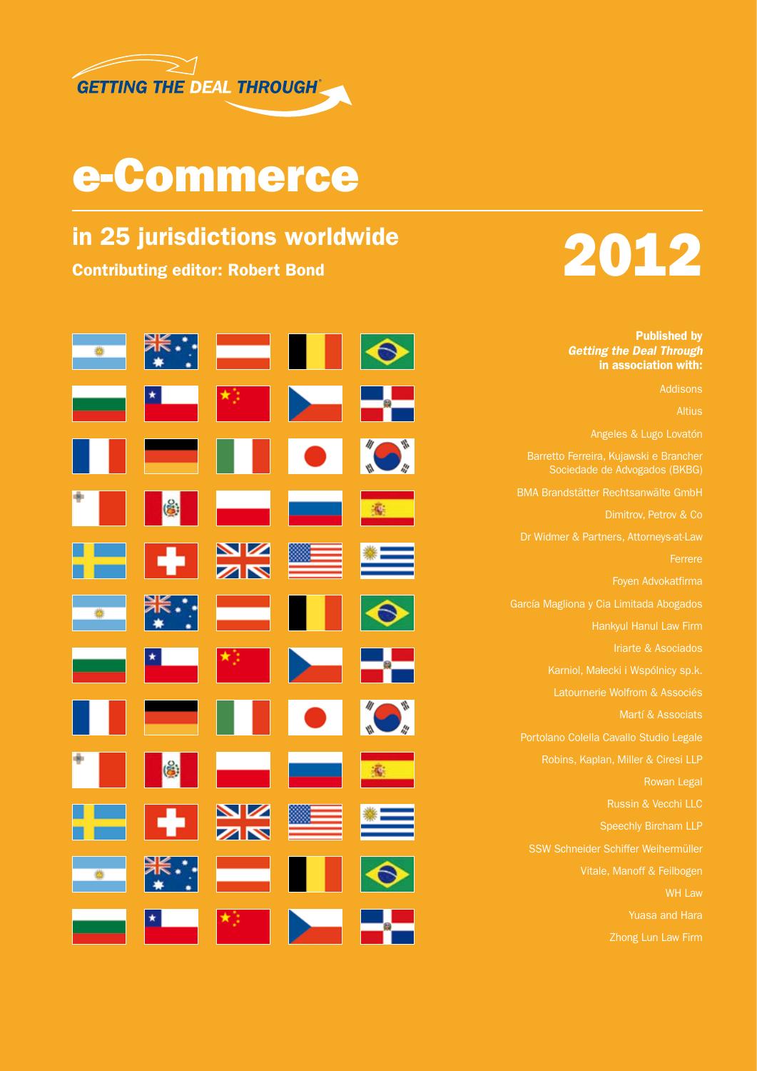

## e-Commerce



Published by *Getting the Deal Through* in association with:

Angeles & Lugo Lovatón

Barretto Ferreira, Kujawski e Brancher Sociedade de Advogados (BKBG)

BMA Brandstätter Rechtsanwälte GmbH

Dimitrov, Petrov & Co

Dr Widmer & Partners, Attorneys-at-Law Ferrere

Foyen Advokatfirma

García Magliona y Cia Limitada Abogados

Hankyul Hanul Law Firm

Iriarte & Asociados

Latournerie Wolfrom & Associés

Martí & Associats

Portolano Colella Cavallo Studio Legale

Robins, Kaplan, Miller & Ciresi LLP

Rowan Legal

Russin & Vecchi LLC

SSW Schneider Schiffer Weihermüller

Vitale, Manoff & Feilbogen

WH Law

Yuasa and Hara

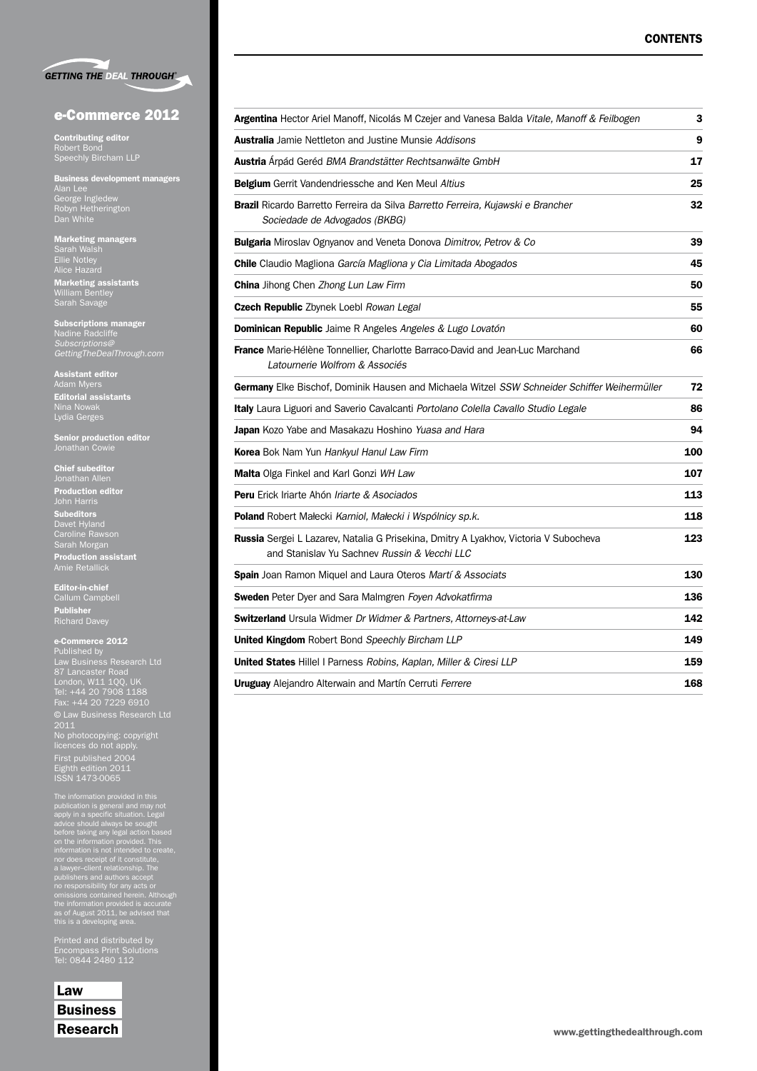|  | <b>GETTING THE DEAL THROUGH®</b> |
|--|----------------------------------|

#### e-Commerce 2012

Contributing editor Robert Bond Speechly Bircham LLP

Business development managers Alan Lee George Ingledew Robyn Hetherington Dan White

Marketing managers Sarah Walsh Ellie Notley Alice Hazard

Marketing assistants William Bentley Sarah Savage

Subscriptions manager Nadine Radcliffe *GettingTheDealThrough.com*

Assistant editor Adam Myers **Editorial assistants** Nina Nowak Lydia Gerges

Senior production editor Jonathan Cowie

Chief subeditor Jonathan Allen Production editor **Subeditors** Davet Hyland Sarah Morgan Production assistant Amie Retallick

Editor-in-chief Callum Campbell Publisher Richard Davey

e-Commerce 2012 Published by Law Business Research Ltd London, W11 1QQ, UK Tel: +44 20 7908 1188 Fax: +44 20 7229 6910 © Law Business Research Ltd No photocopying: copyright licences do not apply. First published 2004 Eighth edition 2011 ISSN 1473-0065

The information provided in this<br>publication is general and may not<br>publication is general and may not<br>apply in a specific situation. Legal<br>before taking any legal action based<br>on the information provided. This<br>information

Printed and distributed by Encompass Print Solutions Tel: 0844 2480 112

Law **Business** Research

| <b>Argentina</b> Hector Ariel Manoff, Nicolás M Czejer and Vanesa Balda <i>Vitale, Manoff &amp; Feilbogen</i>                               | 3   |  |
|---------------------------------------------------------------------------------------------------------------------------------------------|-----|--|
| <b>Australia</b> Jamie Nettleton and Justine Munsie Addisons                                                                                | 9   |  |
| <b>Austria</b> Arpád Geréd BMA Brandstätter Rechtsanwälte GmbH                                                                              | 17  |  |
| <b>Belgium</b> Gerrit Vandendriessche and Ken Meul Altius                                                                                   | 25  |  |
| <b>Brazil</b> Ricardo Barretto Ferreira da Silva Barretto Ferreira, Kujawski e Brancher<br>Sociedade de Advogados (BKBG)                    | 32  |  |
| <b>Bulgaria</b> Miroslav Ognyanov and Veneta Donova Dimitrov, Petrov & Co                                                                   | 39  |  |
| <b>Chile</b> Claudio Magliona García Magliona y Cia Limitada Abogados                                                                       | 45  |  |
| China Jihong Chen Zhong Lun Law Firm                                                                                                        | 50  |  |
| Czech Republic Zbynek Loebl Rowan Legal                                                                                                     | 55  |  |
| <b>Dominican Republic</b> Jaime R Angeles Angeles & Lugo Lovatón                                                                            | 60  |  |
| <b>France</b> Marie-Hélène Tonnellier, Charlotte Barraco-David and Jean-Luc Marchand<br>Latournerie Wolfrom & Associés                      | 66  |  |
| Germany Elke Bischof, Dominik Hausen and Michaela Witzel SSW Schneider Schiffer Weihermüller                                                | 72  |  |
| <b>Italy</b> Laura Liguori and Saverio Cavalcanti Portolano Colella Cavallo Studio Legale                                                   | 86  |  |
| <b>Japan</b> Kozo Yabe and Masakazu Hoshino Yuasa and Hara                                                                                  | 94  |  |
| Korea Bok Nam Yun Hankyul Hanul Law Firm                                                                                                    | 100 |  |
| Malta Olga Finkel and Karl Gonzi WH Law                                                                                                     | 107 |  |
| <b>Peru</b> Erick Iriarte Ahón <i>Iriarte &amp; Asociados</i>                                                                               | 113 |  |
| <b>Poland</b> Robert Małecki Karniol, Małecki i Wspólnicy sp.k.                                                                             | 118 |  |
| <b>Russia</b> Sergei L Lazarev, Natalia G Prisekina, Dmitry A Lyakhov, Victoria V Subocheva<br>and Stanislav Yu Sachney Russin & Vecchi LLC | 123 |  |
| Spain Joan Ramon Miquel and Laura Oteros Martí & Associats                                                                                  | 130 |  |
| <b>Sweden</b> Peter Dyer and Sara Malmgren Foyen Advokatfirma                                                                               |     |  |
| <b>Switzerland</b> Ursula Widmer Dr Widmer & Partners, Attorneys-at-Law                                                                     | 142 |  |
| <b>United Kingdom</b> Robert Bond Speechly Bircham LLP                                                                                      | 149 |  |
| United States Hillel I Parness Robins, Kaplan, Miller & Ciresi LLP                                                                          |     |  |
| <b>Uruguay</b> Alejandro Alterwain and Martín Cerruti Ferrere                                                                               | 168 |  |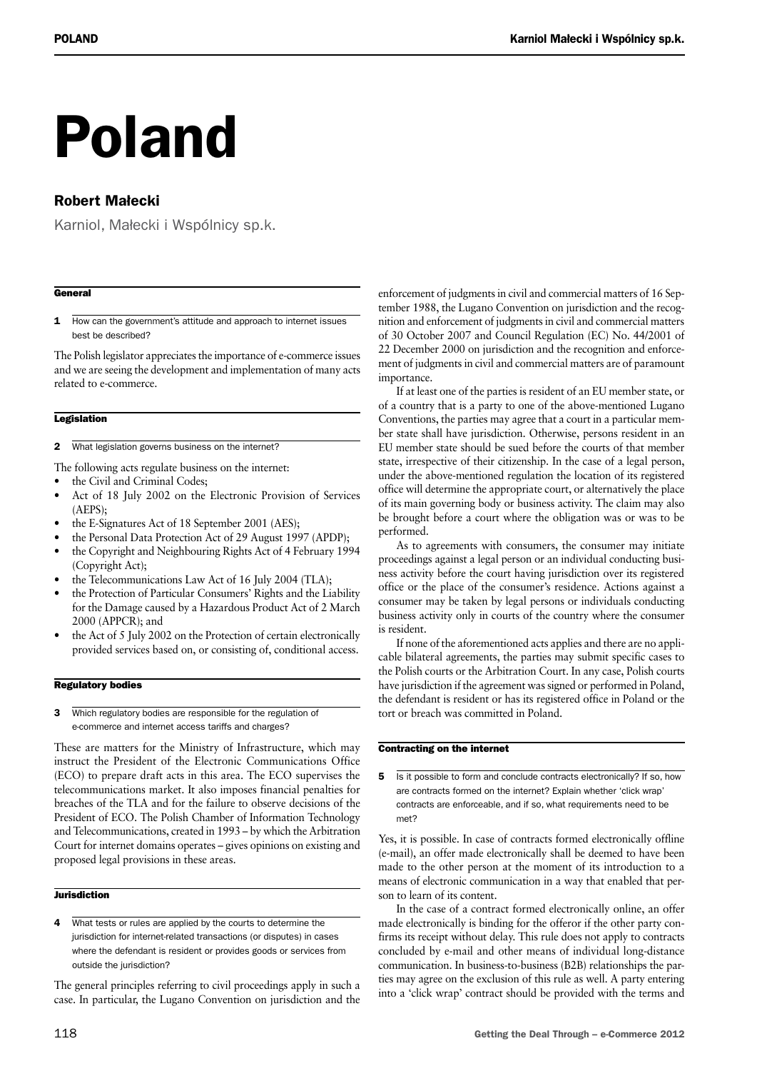# Poland

### Robert Małecki

Karniol, Małecki i Wspólnicy sp.k.

#### **General**

1 How can the government's attitude and approach to internet issues best be described?

The Polish legislator appreciates the importance of e-commerce issues and we are seeing the development and implementation of many acts related to e-commerce.

#### **Legislation**

2 What legislation governs business on the internet?

The following acts regulate business on the internet:

- the Civil and Criminal Codes;
- Act of 18 July 2002 on the Electronic Provision of Services (AEPS);
- the E-Signatures Act of 18 September 2001 (AES);
- the Personal Data Protection Act of 29 August 1997 (APDP);
- the Copyright and Neighbouring Rights Act of 4 February 1994 (Copyright Act);
- the Telecommunications Law Act of 16 July 2004 (TLA);
- the Protection of Particular Consumers' Rights and the Liability for the Damage caused by a Hazardous Product Act of 2 March 2000 (APPCR); and
- the Act of 5 July 2002 on the Protection of certain electronically provided services based on, or consisting of, conditional access.

#### Regulatory bodies

3 Which regulatory bodies are responsible for the regulation of e‑commerce and internet access tariffs and charges?

These are matters for the Ministry of Infrastructure, which may instruct the President of the Electronic Communications Office (ECO) to prepare draft acts in this area. The ECO supervises the telecommunications market. It also imposes financial penalties for breaches of the TLA and for the failure to observe decisions of the President of ECO. The Polish Chamber of Information Technology and Telecommunications, created in 1993 – by which the Arbitration Court for internet domains operates – gives opinions on existing and proposed legal provisions in these areas.

#### **Jurisdiction**

4 What tests or rules are applied by the courts to determine the jurisdiction for internet-related transactions (or disputes) in cases where the defendant is resident or provides goods or services from outside the jurisdiction?

The general principles referring to civil proceedings apply in such a case. In particular, the Lugano Convention on jurisdiction and the

enforcement of judgments in civil and commercial matters of 16 September 1988, the Lugano Convention on jurisdiction and the recognition and enforcement of judgments in civil and commercial matters of 30 October 2007 and Council Regulation (EC) No. 44/2001 of 22 December 2000 on jurisdiction and the recognition and enforcement of judgments in civil and commercial matters are of paramount importance.

If at least one of the parties is resident of an EU member state, or of a country that is a party to one of the above-mentioned Lugano Conventions, the parties may agree that a court in a particular member state shall have jurisdiction. Otherwise, persons resident in an EU member state should be sued before the courts of that member state, irrespective of their citizenship. In the case of a legal person, under the above-mentioned regulation the location of its registered office will determine the appropriate court, or alternatively the place of its main governing body or business activity. The claim may also be brought before a court where the obligation was or was to be performed.

As to agreements with consumers, the consumer may initiate proceedings against a legal person or an individual conducting business activity before the court having jurisdiction over its registered office or the place of the consumer's residence. Actions against a consumer may be taken by legal persons or individuals conducting business activity only in courts of the country where the consumer is resident.

If none of the aforementioned acts applies and there are no applicable bilateral agreements, the parties may submit specific cases to the Polish courts or the Arbitration Court. In any case, Polish courts have jurisdiction if the agreement was signed or performed in Poland, the defendant is resident or has its registered office in Poland or the tort or breach was committed in Poland.

#### Contracting on the internet

5 Is it possible to form and conclude contracts electronically? If so, how are contracts formed on the internet? Explain whether 'click wrap' contracts are enforceable, and if so, what requirements need to be met?

Yes, it is possible. In case of contracts formed electronically offline (e-mail), an offer made electronically shall be deemed to have been made to the other person at the moment of its introduction to a means of electronic communication in a way that enabled that person to learn of its content.

In the case of a contract formed electronically online, an offer made electronically is binding for the offeror if the other party confirms its receipt without delay. This rule does not apply to contracts concluded by e-mail and other means of individual long-distance communication. In business-to-business (B2B) relationships the parties may agree on the exclusion of this rule as well. A party entering into a 'click wrap' contract should be provided with the terms and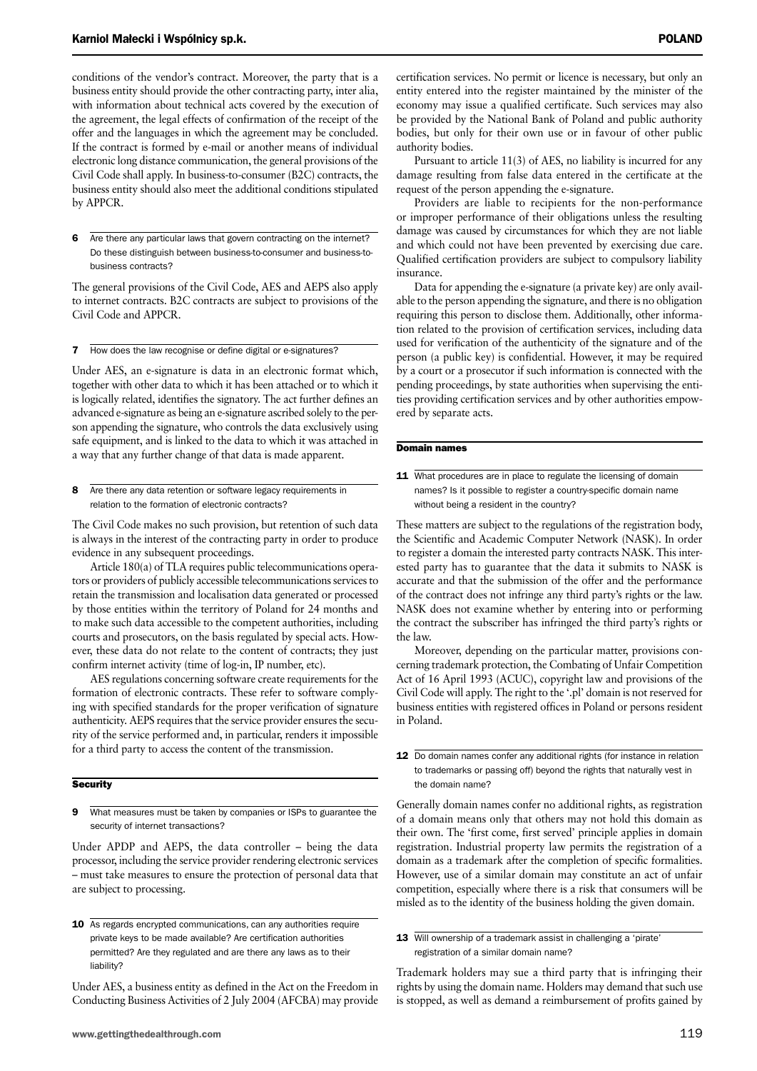conditions of the vendor's contract. Moreover, the party that is a business entity should provide the other contracting party, inter alia, with information about technical acts covered by the execution of the agreement, the legal effects of confirmation of the receipt of the offer and the languages in which the agreement may be concluded. If the contract is formed by e-mail or another means of individual electronic long distance communication, the general provisions of the Civil Code shall apply. In business-to-consumer (B2C) contracts, the business entity should also meet the additional conditions stipulated by APPCR.

Are there any particular laws that govern contracting on the internet? Do these distinguish between business-to-consumer and business-tobusiness contracts?

The general provisions of the Civil Code, AES and AEPS also apply to internet contracts. B2C contracts are subject to provisions of the Civil Code and APPCR.

#### 7 How does the law recognise or define digital or e-signatures?

Under AES, an e-signature is data in an electronic format which, together with other data to which it has been attached or to which it is logically related, identifies the signatory. The act further defines an advanced e-signature as being an e-signature ascribed solely to the person appending the signature, who controls the data exclusively using safe equipment, and is linked to the data to which it was attached in a way that any further change of that data is made apparent.

8 Are there any data retention or software legacy requirements in relation to the formation of electronic contracts?

The Civil Code makes no such provision, but retention of such data is always in the interest of the contracting party in order to produce evidence in any subsequent proceedings.

Article 180(a) of TLA requires public telecommunications operators or providers of publicly accessible telecommunications services to retain the transmission and localisation data generated or processed by those entities within the territory of Poland for 24 months and to make such data accessible to the competent authorities, including courts and prosecutors, on the basis regulated by special acts. However, these data do not relate to the content of contracts; they just confirm internet activity (time of log-in, IP number, etc).

AES regulations concerning software create requirements for the formation of electronic contracts. These refer to software complying with specified standards for the proper verification of signature authenticity. AEPS requires that the service provider ensures the security of the service performed and, in particular, renders it impossible for a third party to access the content of the transmission.

#### **Security**

9 What measures must be taken by companies or ISPs to guarantee the security of internet transactions?

Under APDP and AEPS, the data controller – being the data processor, including the service provider rendering electronic services – must take measures to ensure the protection of personal data that are subject to processing.

10 As regards encrypted communications, can any authorities require private keys to be made available? Are certification authorities permitted? Are they regulated and are there any laws as to their liability?

Under AES, a business entity as defined in the Act on the Freedom in Conducting Business Activities of 2 July 2004 (AFCBA) may provide certification services. No permit or licence is necessary, but only an entity entered into the register maintained by the minister of the economy may issue a qualified certificate. Such services may also be provided by the National Bank of Poland and public authority bodies, but only for their own use or in favour of other public authority bodies.

Pursuant to article 11(3) of AES, no liability is incurred for any damage resulting from false data entered in the certificate at the request of the person appending the e-signature.

Providers are liable to recipients for the non-performance or improper performance of their obligations unless the resulting damage was caused by circumstances for which they are not liable and which could not have been prevented by exercising due care. Qualified certification providers are subject to compulsory liability insurance.

Data for appending the e-signature (a private key) are only available to the person appending the signature, and there is no obligation requiring this person to disclose them. Additionally, other information related to the provision of certification services, including data used for verification of the authenticity of the signature and of the person (a public key) is confidential. However, it may be required by a court or a prosecutor if such information is connected with the pending proceedings, by state authorities when supervising the entities providing certification services and by other authorities empowered by separate acts.

#### Domain names

11 What procedures are in place to regulate the licensing of domain names? Is it possible to register a country-specific domain name without being a resident in the country?

These matters are subject to the regulations of the registration body, the Scientific and Academic Computer Network (NASK). In order to register a domain the interested party contracts NASK. This interested party has to guarantee that the data it submits to NASK is accurate and that the submission of the offer and the performance of the contract does not infringe any third party's rights or the law. NASK does not examine whether by entering into or performing the contract the subscriber has infringed the third party's rights or the law.

Moreover, depending on the particular matter, provisions concerning trademark protection, the Combating of Unfair Competition Act of 16 April 1993 (ACUC), copyright law and provisions of the Civil Code will apply. The right to the '.pl' domain is not reserved for business entities with registered offices in Poland or persons resident in Poland.

12 Do domain names confer any additional rights (for instance in relation to trademarks or passing off) beyond the rights that naturally vest in the domain name?

Generally domain names confer no additional rights, as registration of a domain means only that others may not hold this domain as their own. The 'first come, first served' principle applies in domain registration. Industrial property law permits the registration of a domain as a trademark after the completion of specific formalities. However, use of a similar domain may constitute an act of unfair competition, especially where there is a risk that consumers will be misled as to the identity of the business holding the given domain.

13 Will ownership of a trademark assist in challenging a 'pirate' registration of a similar domain name?

Trademark holders may sue a third party that is infringing their rights by using the domain name. Holders may demand that such use is stopped, as well as demand a reimbursement of profits gained by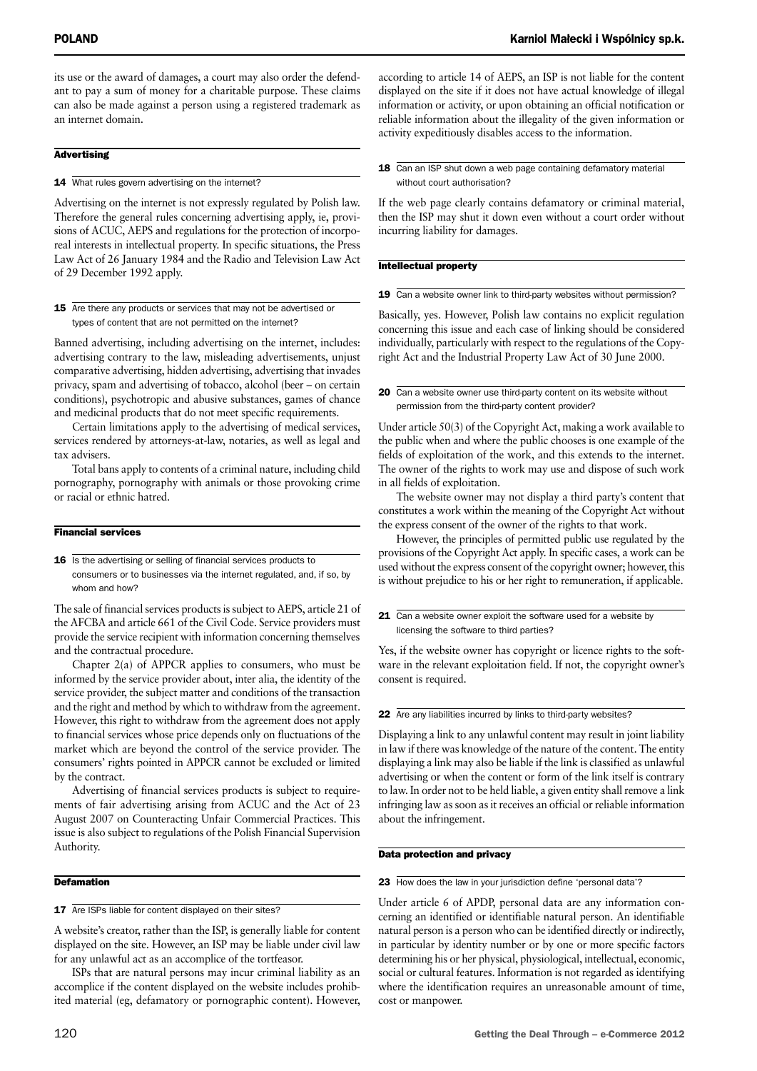its use or the award of damages, a court may also order the defendant to pay a sum of money for a charitable purpose. These claims can also be made against a person using a registered trademark as an internet domain.

#### **Advertising**

#### 14 What rules govern advertising on the internet?

Advertising on the internet is not expressly regulated by Polish law. Therefore the general rules concerning advertising apply, ie, provisions of ACUC, AEPS and regulations for the protection of incorporeal interests in intellectual property. In specific situations, the Press Law Act of 26 January 1984 and the Radio and Television Law Act of 29 December 1992 apply.

#### 15 Are there any products or services that may not be advertised or types of content that are not permitted on the internet?

Banned advertising, including advertising on the internet, includes: advertising contrary to the law, misleading advertisements, unjust comparative advertising, hidden advertising, advertising that invades privacy, spam and advertising of tobacco, alcohol (beer – on certain conditions), psychotropic and abusive substances, games of chance and medicinal products that do not meet specific requirements.

Certain limitations apply to the advertising of medical services, services rendered by attorneys-at-law, notaries, as well as legal and tax advisers.

Total bans apply to contents of a criminal nature, including child pornography, pornography with animals or those provoking crime or racial or ethnic hatred.

#### Financial services

16 Is the advertising or selling of financial services products to consumers or to businesses via the internet regulated, and, if so, by whom and how?

The sale of financial services products is subject to AEPS, article 21 of the AFCBA and article 661 of the Civil Code. Service providers must provide the service recipient with information concerning themselves and the contractual procedure.

Chapter 2(a) of APPCR applies to consumers, who must be informed by the service provider about, inter alia, the identity of the service provider, the subject matter and conditions of the transaction and the right and method by which to withdraw from the agreement. However, this right to withdraw from the agreement does not apply to financial services whose price depends only on fluctuations of the market which are beyond the control of the service provider. The consumers' rights pointed in APPCR cannot be excluded or limited by the contract.

Advertising of financial services products is subject to requirements of fair advertising arising from ACUC and the Act of 23 August 2007 on Counteracting Unfair Commercial Practices. This issue is also subject to regulations of the Polish Financial Supervision Authority.

#### **Defamation**

#### 17 Are ISPs liable for content displayed on their sites?

A website's creator, rather than the ISP, is generally liable for content displayed on the site. However, an ISP may be liable under civil law for any unlawful act as an accomplice of the tortfeasor.

ISPs that are natural persons may incur criminal liability as an accomplice if the content displayed on the website includes prohibited material (eg, defamatory or pornographic content). However,

according to article 14 of AEPS, an ISP is not liable for the content displayed on the site if it does not have actual knowledge of illegal information or activity, or upon obtaining an official notification or reliable information about the illegality of the given information or activity expeditiously disables access to the information.

#### 18 Can an ISP shut down a web page containing defamatory material without court authorisation?

If the web page clearly contains defamatory or criminal material, then the ISP may shut it down even without a court order without incurring liability for damages.

#### Intellectual property

19 Can a website owner link to third-party websites without permission?

Basically, yes. However, Polish law contains no explicit regulation concerning this issue and each case of linking should be considered individually, particularly with respect to the regulations of the Copyright Act and the Industrial Property Law Act of 30 June 2000.

20 Can a website owner use third-party content on its website without permission from the third-party content provider?

Under article 50(3) of the Copyright Act, making a work available to the public when and where the public chooses is one example of the fields of exploitation of the work, and this extends to the internet. The owner of the rights to work may use and dispose of such work in all fields of exploitation.

The website owner may not display a third party's content that constitutes a work within the meaning of the Copyright Act without the express consent of the owner of the rights to that work.

However, the principles of permitted public use regulated by the provisions of the Copyright Act apply. In specific cases, a work can be used without the express consent of the copyright owner; however, this is without prejudice to his or her right to remuneration, if applicable.

21 Can a website owner exploit the software used for a website by licensing the software to third parties?

Yes, if the website owner has copyright or licence rights to the software in the relevant exploitation field. If not, the copyright owner's consent is required.

#### 22 Are any liabilities incurred by links to third-party websites?

Displaying a link to any unlawful content may result in joint liability in law if there was knowledge of the nature of the content. The entity displaying a link may also be liable if the link is classified as unlawful advertising or when the content or form of the link itself is contrary to law. In order not to be held liable, a given entity shall remove a link infringing law as soon as it receives an official or reliable information about the infringement.

#### Data protection and privacy

#### 23 How does the law in your jurisdiction define 'personal data'?

Under article 6 of APDP, personal data are any information concerning an identified or identifiable natural person. An identifiable natural person is a person who can be identified directly or indirectly, in particular by identity number or by one or more specific factors determining his or her physical, physiological, intellectual, economic, social or cultural features. Information is not regarded as identifying where the identification requires an unreasonable amount of time, cost or manpower.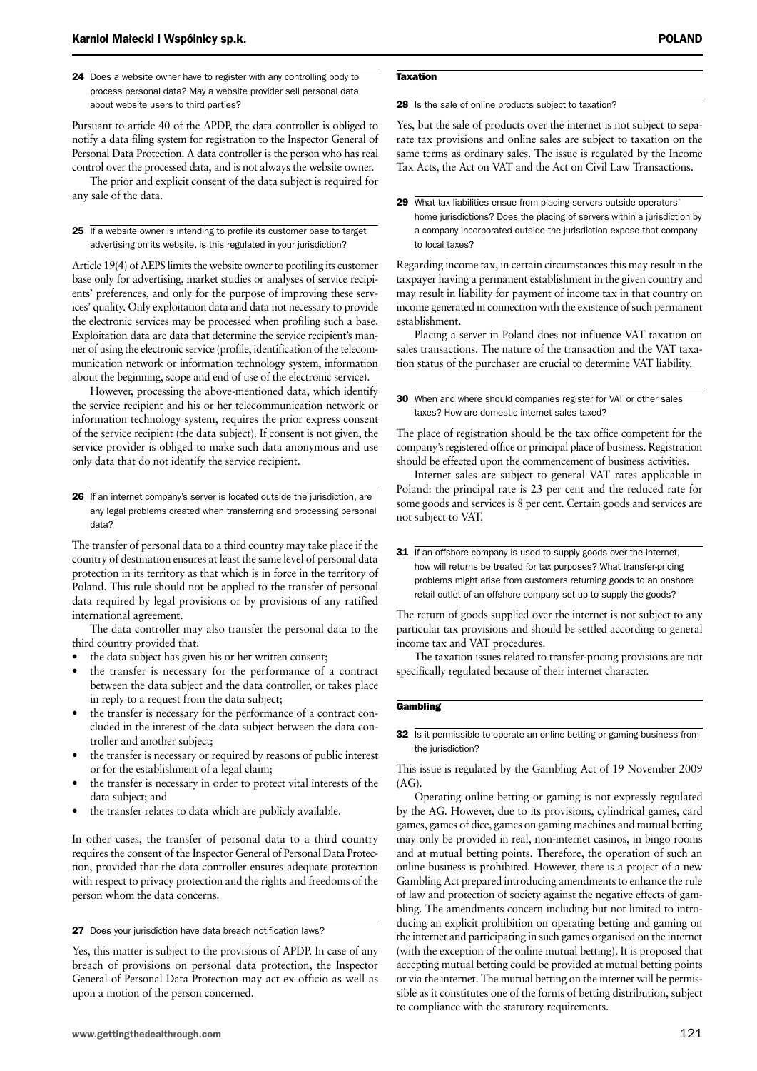24 Does a website owner have to register with any controlling body to process personal data? May a website provider sell personal data about website users to third parties?

Pursuant to article 40 of the APDP, the data controller is obliged to notify a data filing system for registration to the Inspector General of Personal Data Protection. A data controller is the person who has real control over the processed data, and is not always the website owner.

The prior and explicit consent of the data subject is required for any sale of the data.

25 If a website owner is intending to profile its customer base to target advertising on its website, is this regulated in your jurisdiction?

Article 19(4) of AEPS limits the website owner to profiling its customer base only for advertising, market studies or analyses of service recipients' preferences, and only for the purpose of improving these services' quality. Only exploitation data and data not necessary to provide the electronic services may be processed when profiling such a base. Exploitation data are data that determine the service recipient's manner of using the electronic service (profile, identification of the telecommunication network or information technology system, information about the beginning, scope and end of use of the electronic service).

However, processing the above-mentioned data, which identify the service recipient and his or her telecommunication network or information technology system, requires the prior express consent of the service recipient (the data subject). If consent is not given, the service provider is obliged to make such data anonymous and use only data that do not identify the service recipient.

26 If an internet company's server is located outside the jurisdiction, are any legal problems created when transferring and processing personal data?

The transfer of personal data to a third country may take place if the country of destination ensures at least the same level of personal data protection in its territory as that which is in force in the territory of Poland. This rule should not be applied to the transfer of personal data required by legal provisions or by provisions of any ratified international agreement.

The data controller may also transfer the personal data to the third country provided that:

- the data subject has given his or her written consent;
- the transfer is necessary for the performance of a contract between the data subject and the data controller, or takes place in reply to a request from the data subject;
- the transfer is necessary for the performance of a contract concluded in the interest of the data subject between the data controller and another subject;
- the transfer is necessary or required by reasons of public interest or for the establishment of a legal claim;
- the transfer is necessary in order to protect vital interests of the data subject; and
- the transfer relates to data which are publicly available.

In other cases, the transfer of personal data to a third country requires the consent of the Inspector General of Personal Data Protection, provided that the data controller ensures adequate protection with respect to privacy protection and the rights and freedoms of the person whom the data concerns.

27 Does your jurisdiction have data breach notification laws?

Yes, this matter is subject to the provisions of APDP. In case of any breach of provisions on personal data protection, the Inspector General of Personal Data Protection may act ex officio as well as upon a motion of the person concerned.

#### **Taxation**

28 Is the sale of online products subject to taxation?

Yes, but the sale of products over the internet is not subject to separate tax provisions and online sales are subject to taxation on the same terms as ordinary sales. The issue is regulated by the Income Tax Acts, the Act on VAT and the Act on Civil Law Transactions.

Regarding income tax, in certain circumstances this may result in the taxpayer having a permanent establishment in the given country and may result in liability for payment of income tax in that country on income generated in connection with the existence of such permanent establishment.

Placing a server in Poland does not influence VAT taxation on sales transactions. The nature of the transaction and the VAT taxation status of the purchaser are crucial to determine VAT liability.

#### 30 When and where should companies register for VAT or other sales taxes? How are domestic internet sales taxed?

The place of registration should be the tax office competent for the company's registered office or principal place of business. Registration should be effected upon the commencement of business activities.

Internet sales are subject to general VAT rates applicable in Poland: the principal rate is 23 per cent and the reduced rate for some goods and services is 8 per cent. Certain goods and services are not subject to VAT.

31 If an offshore company is used to supply goods over the internet, how will returns be treated for tax purposes? What transfer-pricing problems might arise from customers returning goods to an onshore retail outlet of an offshore company set up to supply the goods?

The return of goods supplied over the internet is not subject to any particular tax provisions and should be settled according to general income tax and VAT procedures.

The taxation issues related to transfer-pricing provisions are not specifically regulated because of their internet character.

#### **Gambling**

32 Is it permissible to operate an online betting or gaming business from the jurisdiction?

#### This issue is regulated by the Gambling Act of 19 November 2009  $(AG).$

Operating online betting or gaming is not expressly regulated by the AG. However, due to its provisions, cylindrical games, card games, games of dice, games on gaming machines and mutual betting may only be provided in real, non-internet casinos, in bingo rooms and at mutual betting points. Therefore, the operation of such an online business is prohibited. However, there is a project of a new Gambling Act prepared introducing amendments to enhance the rule of law and protection of society against the negative effects of gambling. The amendments concern including but not limited to introducing an explicit prohibition on operating betting and gaming on the internet and participating in such games organised on the internet (with the exception of the online mutual betting). It is proposed that accepting mutual betting could be provided at mutual betting points or via the internet. The mutual betting on the internet will be permissible as it constitutes one of the forms of betting distribution, subject to compliance with the statutory requirements.

<sup>29</sup> What tax liabilities ensue from placing servers outside operators' home jurisdictions? Does the placing of servers within a jurisdiction by a company incorporated outside the jurisdiction expose that company to local taxes?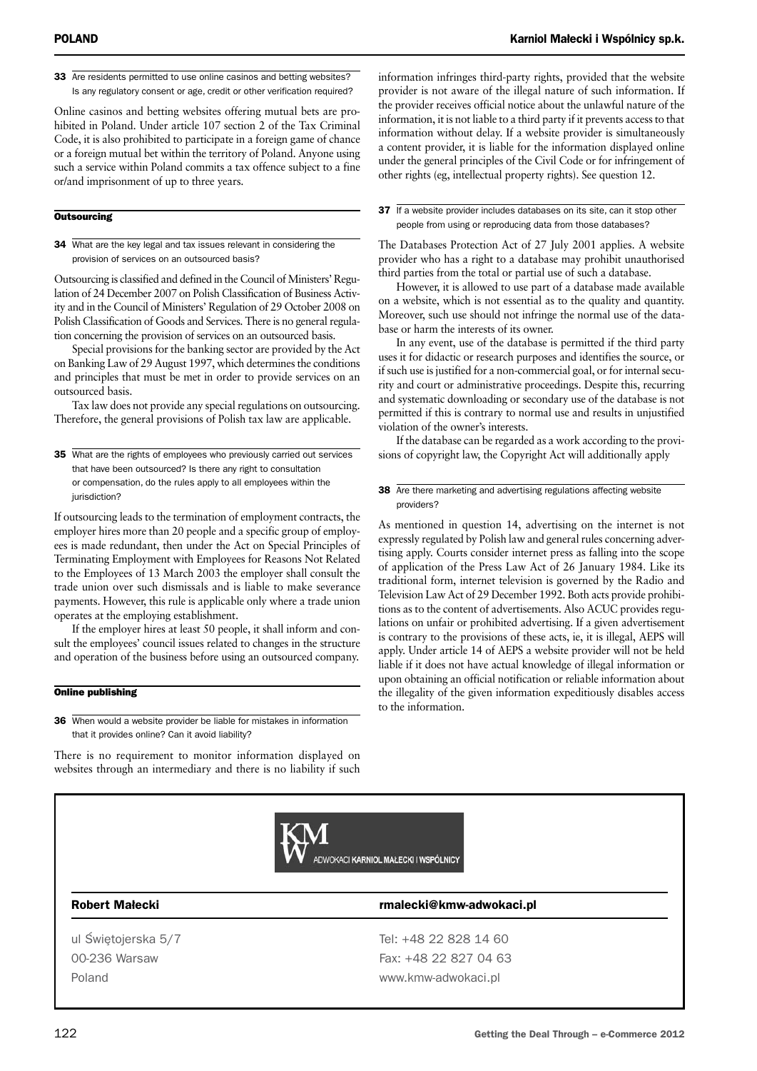33 Are residents permitted to use online casinos and betting websites? Is any regulatory consent or age, credit or other verification required?

Online casinos and betting websites offering mutual bets are prohibited in Poland. Under article 107 section 2 of the Tax Criminal Code, it is also prohibited to participate in a foreign game of chance or a foreign mutual bet within the territory of Poland. Anyone using such a service within Poland commits a tax offence subject to a fine or/and imprisonment of up to three years.

#### **Outsourcing**

34 What are the key legal and tax issues relevant in considering the provision of services on an outsourced basis?

Outsourcing is classified and defined in the Council of Ministers' Regulation of 24 December 2007 on Polish Classification of Business Activity and in the Council of Ministers' Regulation of 29 October 2008 on Polish Classification of Goods and Services. There is no general regulation concerning the provision of services on an outsourced basis.

Special provisions for the banking sector are provided by the Act on Banking Law of 29 August 1997, which determines the conditions and principles that must be met in order to provide services on an outsourced basis.

Tax law does not provide any special regulations on outsourcing. Therefore, the general provisions of Polish tax law are applicable.

**35** What are the rights of employees who previously carried out services that have been outsourced? Is there any right to consultation or compensation, do the rules apply to all employees within the jurisdiction?

If outsourcing leads to the termination of employment contracts, the employer hires more than 20 people and a specific group of employees is made redundant, then under the Act on Special Principles of Terminating Employment with Employees for Reasons Not Related to the Employees of 13 March 2003 the employer shall consult the trade union over such dismissals and is liable to make severance payments. However, this rule is applicable only where a trade union operates at the employing establishment.

If the employer hires at least 50 people, it shall inform and consult the employees' council issues related to changes in the structure and operation of the business before using an outsourced company.

#### Online publishing

36 When would a website provider be liable for mistakes in information that it provides online? Can it avoid liability?

There is no requirement to monitor information displayed on websites through an intermediary and there is no liability if such

information infringes third-party rights, provided that the website provider is not aware of the illegal nature of such information. If the provider receives official notice about the unlawful nature of the information, it is not liable to a third party if it prevents access to that information without delay. If a website provider is simultaneously a content provider, it is liable for the information displayed online under the general principles of the Civil Code or for infringement of other rights (eg, intellectual property rights). See question 12.

37 If a website provider includes databases on its site, can it stop other people from using or reproducing data from those databases?

The Databases Protection Act of 27 July 2001 applies. A website provider who has a right to a database may prohibit unauthorised third parties from the total or partial use of such a database.

However, it is allowed to use part of a database made available on a website, which is not essential as to the quality and quantity. Moreover, such use should not infringe the normal use of the database or harm the interests of its owner.

In any event, use of the database is permitted if the third party uses it for didactic or research purposes and identifies the source, or if such use is justified for a non-commercial goal, or for internal security and court or administrative proceedings. Despite this, recurring and systematic downloading or secondary use of the database is not permitted if this is contrary to normal use and results in unjustified violation of the owner's interests.

If the database can be regarded as a work according to the provisions of copyright law, the Copyright Act will additionally apply

#### 38 Are there marketing and advertising regulations affecting website providers?

As mentioned in question 14, advertising on the internet is not expressly regulated by Polish law and general rules concerning advertising apply. Courts consider internet press as falling into the scope of application of the Press Law Act of 26 January 1984. Like its traditional form, internet television is governed by the Radio and Television Law Act of 29 December 1992. Both acts provide prohibitions as to the content of advertisements. Also ACUC provides regulations on unfair or prohibited advertising. If a given advertisement is contrary to the provisions of these acts, ie, it is illegal, AEPS will apply. Under article 14 of AEPS a website provider will not be held liable if it does not have actual knowledge of illegal information or upon obtaining an official notification or reliable information about the illegality of the given information expeditiously disables access to the information.



#### Robert Małecki **alecki** rmalecki@kmw-adwokaci.pl

ul Świętojerska 5/7 Tel: +48 22 828 14 60 00-236 Warsaw Fax: +48 22 827 04 63

Poland www.kmw-adwokaci.pl